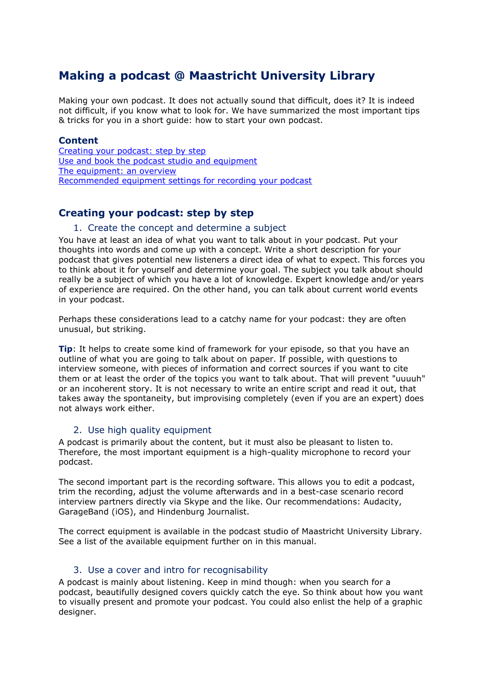# **Making a podcast @ Maastricht University Library**

Making your own podcast. It does not actually sound that difficult, does it? It is indeed not difficult, if you know what to look for. We have summarized the most important tips & tricks for you in a short guide: how to start your own podcast.

#### **Content**

Creating [your podcast: step by step](#page-0-0) Use and book [the podcast studio and equipment](#page-2-0) [The equipment: an overview](#page-3-0) [Recommended equipment settings for recording your podcast](#page-4-0)

### <span id="page-0-0"></span>**Creating your podcast: step by step**

#### 1. Create the concept and determine a subject

You have at least an idea of what you want to talk about in your podcast. Put your thoughts into words and come up with a concept. Write a short description for your podcast that gives potential new listeners a direct idea of what to expect. This forces you to think about it for yourself and determine your goal. The subject you talk about should really be a subject of which you have a lot of knowledge. Expert knowledge and/or years of experience are required. On the other hand, you can talk about current world events in your podcast.

Perhaps these considerations lead to a catchy name for your podcast: they are often unusual, but striking.

**Tip**: It helps to create some kind of framework for your episode, so that you have an outline of what you are going to talk about on paper. If possible, with questions to interview someone, with pieces of information and correct sources if you want to cite them or at least the order of the topics you want to talk about. That will prevent "uuuuh" or an incoherent story. It is not necessary to write an entire script and read it out, that takes away the spontaneity, but improvising completely (even if you are an expert) does not always work either.

#### 2. Use high quality equipment

A podcast is primarily about the content, but it must also be pleasant to listen to. Therefore, the most important equipment is a high-quality microphone to record your podcast.

The second important part is the recording software. This allows you to edit a podcast, trim the recording, adjust the volume afterwards and in a best-case scenario record interview partners directly via Skype and the like. Our recommendations: Audacity, GarageBand (iOS), and Hindenburg Journalist.

The correct equipment is available in the podcast studio of Maastricht University Library. See a list of the available equipment further on in this manual.

#### 3. Use a cover and intro for recognisability

A podcast is mainly about listening. Keep in mind though: when you search for a podcast, beautifully designed covers quickly catch the eye. So think about how you want to visually present and promote your podcast. You could also enlist the help of a graphic designer.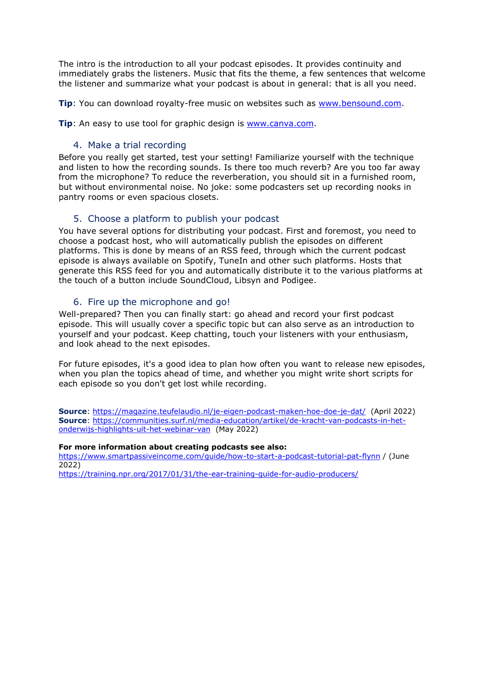The intro is the introduction to all your podcast episodes. It provides continuity and immediately grabs the listeners. Music that fits the theme, a few sentences that welcome the listener and summarize what your podcast is about in general: that is all you need.

**Tip**: You can download royalty-free music on websites such as [www.bensound.com.](http://www.bensound.com/)

**Tip**: An easy to use tool for graphic design is [www.canva.com.](http://www.canva.com/)

### 4. Make a trial recording

Before you really get started, test your setting! Familiarize yourself with the technique and listen to how the recording sounds. Is there too much reverb? Are you too far away from the microphone? To reduce the reverberation, you should sit in a furnished room, but without environmental noise. No joke: some podcasters set up recording nooks in pantry rooms or even spacious closets.

### 5. Choose a platform to publish your podcast

You have several options for distributing your podcast. First and foremost, you need to choose a podcast host, who will automatically publish the episodes on different platforms. This is done by means of an RSS feed, through which the current podcast episode is always available on Spotify, TuneIn and other such platforms. Hosts that generate this RSS feed for you and automatically distribute it to the various platforms at the touch of a button include SoundCloud, Libsyn and Podigee.

### 6. Fire up the microphone and go!

Well-prepared? Then you can finally start: go ahead and record your first podcast episode. This will usually cover a specific topic but can also serve as an introduction to yourself and your podcast. Keep chatting, touch your listeners with your enthusiasm, and look ahead to the next episodes.

For future episodes, it's a good idea to plan how often you want to release new episodes, when you plan the topics ahead of time, and whether you might write short scripts for each episode so you don't get lost while recording.

**Source**:<https://magazine.teufelaudio.nl/je-eigen-podcast-maken-hoe-doe-je-dat/> (April 2022) **Source**: [https://communities.surf.nl/media-education/artikel/de-kracht-van-podcasts-in-het](https://communities.surf.nl/media-education/artikel/de-kracht-van-podcasts-in-het-onderwijs-highlights-uit-het-webinar-van)[onderwijs-highlights-uit-het-webinar-van](https://communities.surf.nl/media-education/artikel/de-kracht-van-podcasts-in-het-onderwijs-highlights-uit-het-webinar-van) (May 2022)

#### **For more information about creating podcasts see also:**

<https://www.smartpassiveincome.com/guide/how-to-start-a-podcast-tutorial-pat-flynn> / (June 2022)

<https://training.npr.org/2017/01/31/the-ear-training-guide-for-audio-producers/>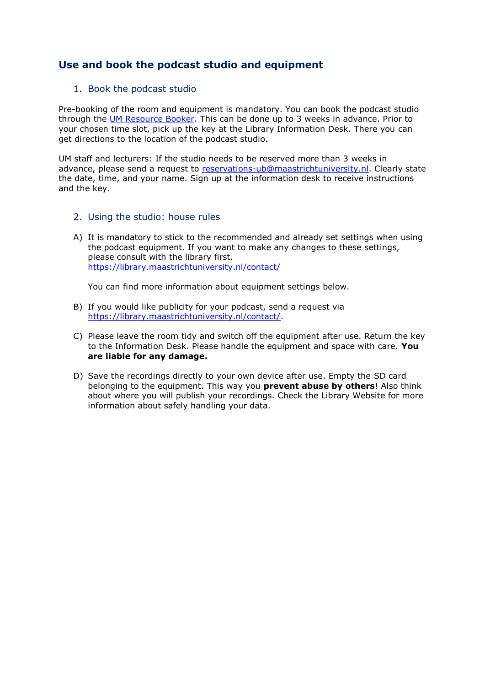## <span id="page-2-0"></span>**Use and book the podcast studio and equipment**

### 1. Book the podcast studio

Pre-booking of the room and equipment is mandatory. You can book the podcast studio through the [UM Resource Booker.](https://resourcebooker.maastrichtuniversity.nl/) This can be done up to 3 weeks in advance. Prior to your chosen time slot, pick up the key at the Library Information Desk. There you can get directions to the location of the podcast studio.

UM staff and lecturers: If the studio needs to be reserved more than 3 weeks in advance, please send a request to [reservations-ub@maastrichtuniversity.nl.](mailto:reservations-ub@maastrichtuniversity.nl) Clearly state the date, time, and your name. Sign up at the information desk to receive instructions and the key.

- 2. Using the studio: house rules
- A) It is mandatory to stick to the recommended and already set settings when using the podcast equipment. If you want to make any changes to these settings, please consult with the library first. <https://library.maastrichtuniversity.nl/contact/>

You can find more information about equipment settings below.

- B) If you would like publicity for your podcast, send a request via [https://library.maastrichtuniversity.nl/contact/.](https://library.maastrichtuniversity.nl/contact/)
- C) Please leave the room tidy and switch off the equipment after use. Return the key to the Information Desk. Please handle the equipment and space with care. **You are liable for any damage.**
- D) Save the recordings directly to your own device after use. Empty the SD card belonging to the equipment. This way you **prevent abuse by others**! Also think about where you will publish your recordings. Check the Library Website for more information about safely handling your data.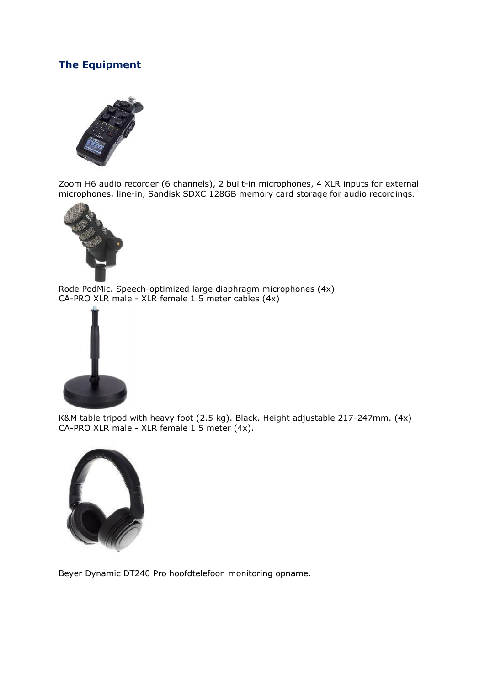# <span id="page-3-0"></span>**The Equipment**



Zoom H6 audio recorder (6 channels), 2 built-in microphones, 4 XLR inputs for external microphones, line-in, Sandisk SDXC 128GB memory card storage for audio recordings.



Rode PodMic. Speech-optimized large diaphragm microphones (4x) CA-PRO XLR male - XLR female 1.5 meter cables (4x)



K&M table tripod with heavy foot (2.5 kg). Black. Height adjustable 217-247mm. (4x) CA-PRO XLR male - XLR female 1.5 meter (4x).



Beyer Dynamic DT240 Pro hoofdtelefoon monitoring opname.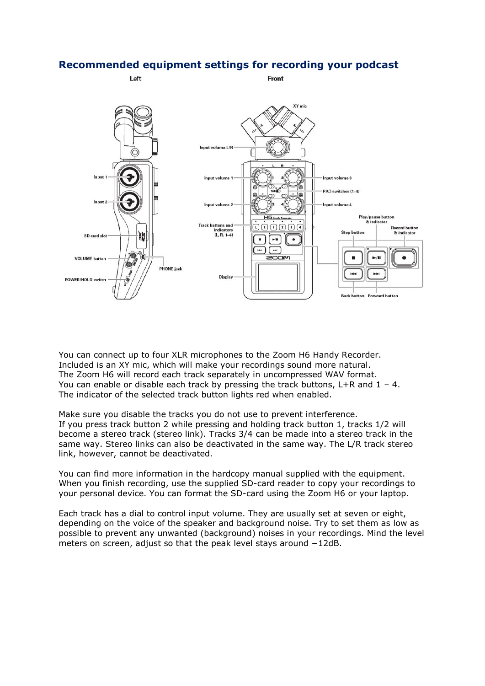### <span id="page-4-0"></span>**Recommended equipment settings for recording your podcast**



You can connect up to four XLR microphones to the Zoom H6 Handy Recorder. Included is an XY mic, which will make your recordings sound more natural. The Zoom H6 will record each track separately in uncompressed WAV format. You can enable or disable each track by pressing the track buttons,  $L+R$  and  $1 - 4$ . The indicator of the selected track button lights red when enabled.

Make sure you disable the tracks you do not use to prevent interference. If you press track button 2 while pressing and holding track button 1, tracks 1/2 will become a stereo track (stereo link). Tracks 3/4 can be made into a stereo track in the same way. Stereo links can also be deactivated in the same way. The L/R track stereo link, however, cannot be deactivated.

You can find more information in the hardcopy manual supplied with the equipment. When you finish recording, use the supplied SD-card reader to copy your recordings to your personal device. You can format the SD-card using the Zoom H6 or your laptop.

Each track has a dial to control input volume. They are usually set at seven or eight, depending on the voice of the speaker and background noise. Try to set them as low as possible to prevent any unwanted (background) noises in your recordings. Mind the level meters on screen, adjust so that the peak level stays around −12dB.